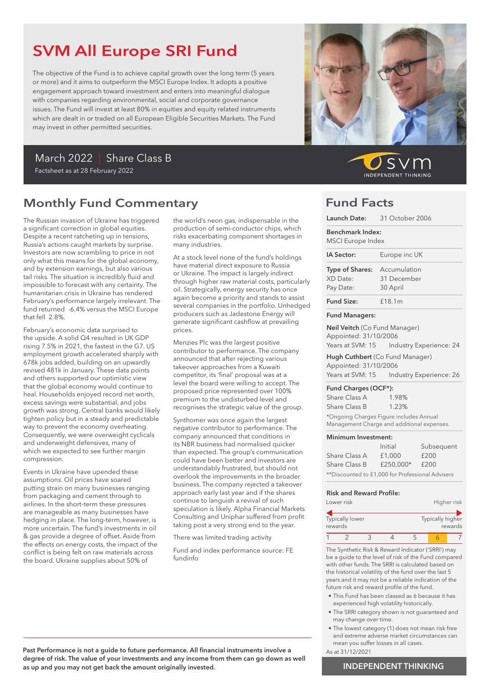# SVM All Europe SRI Fund

The objective of the Fund is to achieve capital growth over the long term (5 years or more) and it aims to outperform the MSCI Europe Index. It adopts a positive engagement approach toward investment and enters into meaningful dialogue with companies regarding environmental, social and corporate governance issues. The Fund will invest at least 80% in equities and equity related instruments which are dealt in or traded on all European Eligible Securities Markets. The Fund may invest in other permitted securities.

# March 2022 | Share Class B

### Factsheet as at 28 February 2022

# Monthly Fund Commentary

The Russian invasion of Ukraine has triggered a significant correction in global equities. Despite a recent ratcheting up in tensions, Russia's actions caught markets by surprise. Investors are now scrambling to price in not only what this means for the global economy, and by extension earnings, but also various tail risks. The situation is incredibly fluid and impossible to forecast with any certainty. The humanitarian crisis in Ukraine has rendered February's performance largely irrelevant. The fund returned -6.4% versus the MSCI Europe that fell 2.8%.

February's economic data surprised to the upside. A solid Q4 resulted in UK GDP rising 7.5% in 2021, the fastest in the G7. US employment growth accelerated sharply with 678k jobs added, building on an upwardly revised 481k in January. These data points and others supported our optimistic view that the global economy would continue to heal. Households enjoyed record net worth, excess savings were substantial, and jobs growth was strong. Central banks would likely tighten policy but in a steady and predictable way to prevent the economy overheating. Consequently, we were overweight cyclicals and underweight defensives, many of which we expected to see further margin compression.

Events in Ukraine have upended these assumptions. Oil prices have soared putting strain on many businesses ranging from packaging and cement through to airlines. In the short-term these pressures are manageable as many businesses have hedging in place. The long-term, however, is more uncertain. The fund's investments in oil & gas provide a degree of offset. Aside from the effects on energy costs, the impact of the conflict is being felt on raw materials across the board. Ukraine supplies about 50% of

the world's neon gas, indispensable in the production of semi-conductor chips, which risks exacerbating component shortages in many industries.

At a stock level none of the fund's holdings have material direct exposure to Russia or Ukraine. The impact is largely indirect through higher raw material costs, particularly oil. Strategically, energy security has once again become a priority and stands to assist several companies in the portfolio. Unhedged producers such as Jadestone Energy will generate significant cashflow at prevailing prices.

Menzies Plc was the largest positive contributor to performance. The company announced that after rejecting various takeover approaches from a Kuwaiti competitor, its 'final' proposal was at a level the board were willing to accept. The proposed price represented over 100% premium to the undisturbed level and recognises the strategic value of the group.

Synthomer was once again the largest negative contributor to performance. The company announced that conditions in its NBR business had normalised quicker than expected. The group's communication could have been better and investors are understandably frustrated, but should not overlook the improvements in the broader business. The company rejected a takeover approach early last year and if the shares continue to languish a revival of such speculation is likely. Alpha Financial Markets Consulting and Uniphar suffered from profit taking post a very strong end to the year.

There was limited trading activity

Fund and index performance source: FE fundinfo



 $\mathcal{S}$ **INDEPENDENT THINKING** 

### Fund Facts

|                                                               | Launch Date: 31 October 2006                                                   |
|---------------------------------------------------------------|--------------------------------------------------------------------------------|
| <b>Benchmark Index:</b><br>MSCI Europe Index                  |                                                                                |
| IA Sector:                                                    | Europe inc UK                                                                  |
| <b>Type of Shares:</b> Accumulation<br>XD Date:<br>Pay Date:  | 31 December<br>30 April                                                        |
| <b>Fund Size:</b>                                             | £18.1m                                                                         |
| <b>Fund Managers:</b>                                         |                                                                                |
| <b>Neil Veitch</b> (Co Fund Manager)<br>Appointed: 31/10/2006 | Years at SVM: 15    Industry Experience: 24                                    |
| Appointed: 31/10/2006                                         | Hugh Cuthbert (Co Fund Manager)<br>Years at SVM: 15    Industry Experience: 26 |
| Fund Charges (OCF*):<br>Share Class A                         | 1.98%                                                                          |

Share Class B 1.23% \*Ongoing Charges Figure includes Annual Management Charge and additional expenses.

#### Minimum Investment:

|                                                  | Initial   | Subsequent |
|--------------------------------------------------|-----------|------------|
| Share Class A                                    | £1,000    | £200       |
| Share Class B                                    | £250.000* | £200       |
| **Discounted to £1,000 for Professional Advisers |           |            |

#### Risk and Reward Profile:

|         | Lower risk             |  |                  | Higher risk |
|---------|------------------------|--|------------------|-------------|
| rewards | <b>Typically lower</b> |  | Typically higher | rewards     |
|         |                        |  |                  |             |

The Synthetic Risk & Reward Indicator ('SRRI') may be a guide to the level of risk of the Fund compared with other funds. The SRRI is calculated based on the historical volatility of the fund over the last 5 years and it may not be a reliable indication of the future risk and reward profile of the fund.

- This Fund has been classed as 6 because it has experienced high volatility historically.
- The SRRI category shown is not guaranteed and may change over time.
- The lowest category (1) does not mean risk free and extreme adverse market circumstances can mean you suffer losses in all cases.
- As at 31/12/2021

Past Performance is not a guide to future performance. All financial instruments involve a degree of risk. The value of your investments and any income from them can go down as well as up and you may not get back the amount originally invested.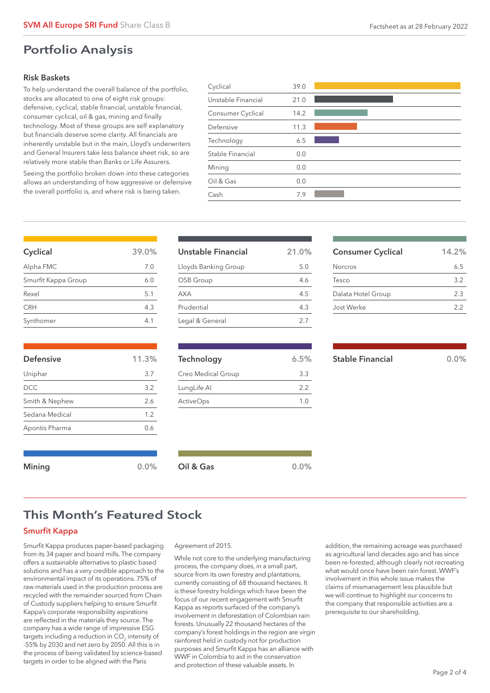### Risk Baskets

To help understand the overall balance of the portfolio, stocks are allocated to one of eight risk groups: defensive, cyclical, stable financial, unstable financial, consumer cyclical, oil & gas, mining and finally technology. Most of these groups are self explanatory but financials deserve some clarity. All financials are inherently unstable but in the main, Lloyd's underwriters and General Insurers take less balance sheet risk, so are relatively more stable than Banks or Life Assurers.

Seeing the portfolio broken down into these categories allows an understanding of how aggressive or defensive the overall portfolio is, and where risk is being taken.

| Cash               | 7.9  |  |
|--------------------|------|--|
| Oil & Gas          | 0.0  |  |
| Mining             | 0.0  |  |
| Stable Financial   | 0.0  |  |
| Technology         | 6.5  |  |
| Defensive          | 11.3 |  |
| Consumer Cyclical  | 14.2 |  |
| Unstable Financial | 21.0 |  |
| Cyclical           | 39.0 |  |

| Cyclical            | 39.0% |
|---------------------|-------|
| Alpha FMC           | 7.0   |
| Smurfit Kappa Group | 6.0   |
| Rexel               | 5.1   |
| <b>CRH</b>          | 4.3   |
| Synthomer           | 41    |

| <b>Defensive</b> | 11.3% |
|------------------|-------|
| Uniphar          | 3.7   |
| <b>DCC</b>       | 3.2   |
| Smith & Nephew   | 2.6   |
| Sedana Medical   | 1.2   |
| Apontis Pharma   | 0.6   |

| Unstable Financial   | 21.0% |
|----------------------|-------|
| Lloyds Banking Group | 5.0   |
| OSB Group            | 46    |
| AXA                  | 4.5   |
| Prudential           | 43    |
| Legal & General      | 27    |

| Technology         | 6.5% |
|--------------------|------|
| Creo Medical Group | 33   |
| LungLife Al        | 2.2  |
| <b>ActiveOps</b>   | 1()  |
|                    |      |

| <b>JIANIC I IIIAIILIAI</b> |  |  |
|----------------------------|--|--|
|                            |  |  |
|                            |  |  |

Consumer Cyclical 14.2% Norcros 6.5 Tesco 3.2 Dalata Hotel Group 2.3 Jost Werke 2.2

| <b>Stable Financial</b> |  | 0.0% |  |
|-------------------------|--|------|--|
|                         |  |      |  |

## This Month's Featured Stock

### Smurfit Kappa

Smurfit Kappa produces paper-based packaging from its 34 paper and board mills. The company offers a sustainable alternative to plastic based solutions and has a very credible approach to the environmental impact of its operations. 75% of raw materials used in the production process are recycled with the remainder sourced from Chain of Custody suppliers helping to ensure Smurfit Kappa's corporate responsibility aspirations are reflected in the materials they source. The company has a wide range of impressive ESG targets including a reduction in CO $_2$  intensity of -55% by 2030 and net zero by 2050. All this is in the process of being validated by science-based targets in order to be aligned with the Paris

#### Agreement of 2015.

Mining 0.0% Oil & Gas 0.0% 0.0%

While not core to the underlying manufacturing process, the company does, in a small part, source from its own forestry and plantations, currently consisting of 68 thousand hectares. It is these forestry holdings which have been the focus of our recent engagement with Smurfit Kappa as reports surfaced of the company's involvement in deforestation of Colombian rain forests. Unusually 22 thousand hectares of the company's forest holdings in the region are virgin rainforest held in custody not for production purposes and Smurfit Kappa has an alliance with WWF in Colombia to aid in the conservation and protection of these valuable assets. In

addition, the remaining acreage was purchased as agricultural land decades ago and has since been re-forested, although clearly not recreating what would once have been rain forest. WWF's involvement in this whole issue makes the claims of mismanagement less plausible but we will continue to highlight our concerns to the company that responsible activities are a prerequisite to our shareholding.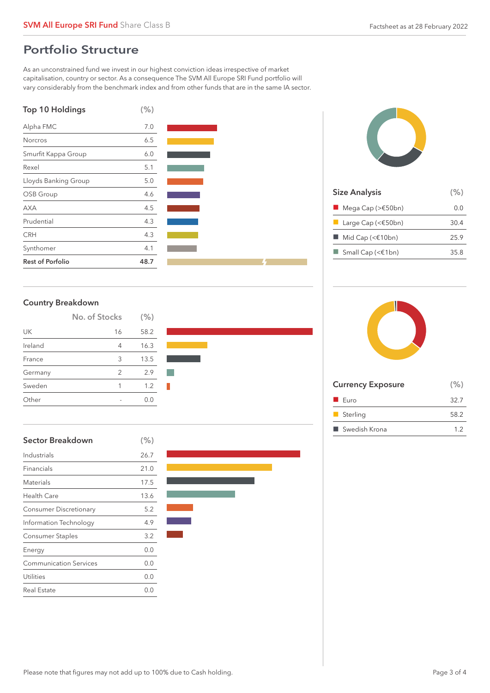## Portfolio Structure

As an unconstrained fund we invest in our highest conviction ideas irrespective of market capitalisation, country or sector. As a consequence The SVM All Europe SRI Fund portfolio will vary considerably from the benchmark index and from other funds that are in the same IA sector.





| <b>Country Breakdown</b> |  |  |
|--------------------------|--|--|
|--------------------------|--|--|

|         | No. of Stocks | (% ) |
|---------|---------------|------|
| UK      | 16            | 58.2 |
| Ireland | 4             | 16.3 |
| France  | 3             | 13.5 |
| Germany | 2             | 2.9  |
| Sweden  | 1             | 1.2  |
| Other   | -             | 0.0  |

| Sector Breakdown              | (% ) |
|-------------------------------|------|
| Industrials                   | 26.7 |
| Financials                    | 21.0 |
| Materials                     | 17.5 |
| Health Care                   | 13.6 |
| Consumer Discretionary        | 5.2  |
| Information Technology        | 4.9  |
| Consumer Staples              | 3.2  |
| Energy                        | 0.0  |
| <b>Communication Services</b> | 0.0  |
| Utilities                     | 0.0  |
| Real Estate                   | 0.0  |





| <b>Size Analysis</b>                  | (% ) |
|---------------------------------------|------|
| Mega Cap ( $\geq$ E50bn)              | 0.O  |
| Large Cap (< $$50bn)$                 | 30.4 |
| $\blacksquare$ Mid Cap (< $\in$ 10bn) | 25.9 |
| Small Cap (< $\in$ 1bn)               | 35.8 |
|                                       |      |



| <b>Currency Exposure</b> | (% ) |
|--------------------------|------|
| $\blacksquare$ Euro      | 32.7 |
| Sterling                 | 58.2 |
| ■ Swedish Krona          | 1.2  |
|                          |      |